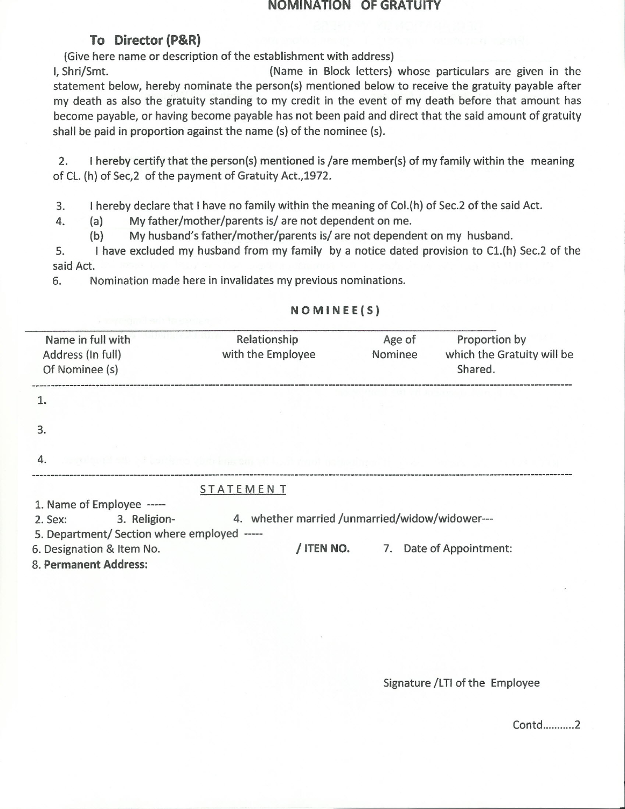#### **NOMINATION OF GRATUITY**

### **To Director (P&R)**

(Give here name or description of the establishment with address)

I, Shri/Smt. (Name in Block letters) whose particulars are given in the statement below, hereby nominate the person(s) mentioned below to receive the gratuity payable after my death as also the gratuity standing to my credit in the event of my death before that amount has become payable, or having become payable has not been paid and direct that the said amount of gratuity shall be paid in proportion against the name (s) of the nominee (s).

2. I hereby certify that the person(s) mentioned is /are member(s) of my family within the meaning of CL. (h) of Sec,2 of the payment of Gratuity Act.,1972.

3. I hereby declare that I have no family within the meaning of CoI.(h) of Sec.2 of the said Act.

4. (a) My father/mother/parents is/ are not dependent on me.

(b) My husband's father/mother/parents is/ are not dependent on my husband.

5. I have excluded my husband from my family by a notice dated provision to Cl.(h) Sec.2 of the said Act.

6. Nomination made here in invalidates my previous nominations.

#### **NOMINEE(S}**

| Name in full with | Relationship      | Age of  | Proportion by              |
|-------------------|-------------------|---------|----------------------------|
| Address (In full) | with the Employee | Nominee | which the Gratuity will be |
| Of Nominee (s)    |                   |         | Shared.                    |

1.

3.

4.

#### STATEMEN T

1. Name of Employee -----

2. Sex: 3. Religion- 4. whether married /unmarried/widow/widower---

5. Department/ Section where employed -----

| 6. Designation & Item No. | / ITEN NO. |  | 7. Date of Appointment: |
|---------------------------|------------|--|-------------------------|
|---------------------------|------------|--|-------------------------|

8. **Permanent Address:**

Signature /LTI of the Employee

Contd..........2